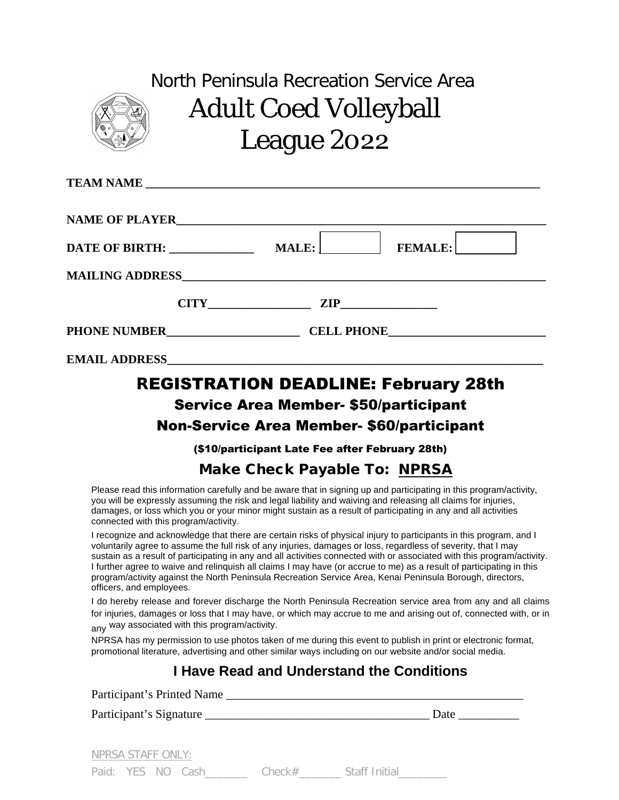

# North Peninsula Recreation Service Area Adult Coed Volleyball League 2022

| DATE OF BIRTH:                     | <b>FEMALE:</b><br>MALE: |  |
|------------------------------------|-------------------------|--|
|                                    |                         |  |
| <b>CITY</b>                        | $\mathbf{ZIP}$          |  |
| <b>CELL PHONE</b>                  |                         |  |
| <b>EMAIL ADDRESS EMAIL ADDRESS</b> |                         |  |

## REGISTRATION DEADLINE: February 28th Service Area Member- \$50/participant

#### Non-Service Area Member- \$60/participant

(\$10/participant Late Fee after February 28th)

### Make Check Payable To: NPRSA

Please read this information carefully and be aware that in signing up and participating in this program/activity, you will be expressly assuming the risk and legal liability and waiving and releasing all claims for injuries, damages, or loss which you or your minor might sustain as a result of participating in any and all activities connected with this program/activity.

I recognize and acknowledge that there are certain risks of physical injury to participants in this program, and I voluntarily agree to assume the full risk of any injuries, damages or loss, regardless of severity, that I may sustain as a result of participating in any and all activities connected with or associated with this program/activity. I further agree to waive and relinquish all claims I may have (or accrue to me) as a result of participating in this program/activity against the North Peninsula Recreation Service Area, Kenai Peninsula Borough, directors, officers, and employees.

I do hereby release and forever discharge the North Peninsula Recreation service area from any and all claims for injuries, damages or loss that I may have, or which may accrue to me and arising out of, connected with, or in any way associated with this program/activity.

NPRSA has my permission to use photos taken of me during this event to publish in print or electronic format, promotional literature, advertising and other similar ways including on our website and/or social media.

### **I Have Read and Understand the Conditions**

| Participant's Printed Name |        |               |      |  |
|----------------------------|--------|---------------|------|--|
| Participant's Signature    |        |               | Date |  |
| NPRSA STAFF ONLY:          |        |               |      |  |
| Paid: YES NO Cash          | Check# | Staff Initial |      |  |